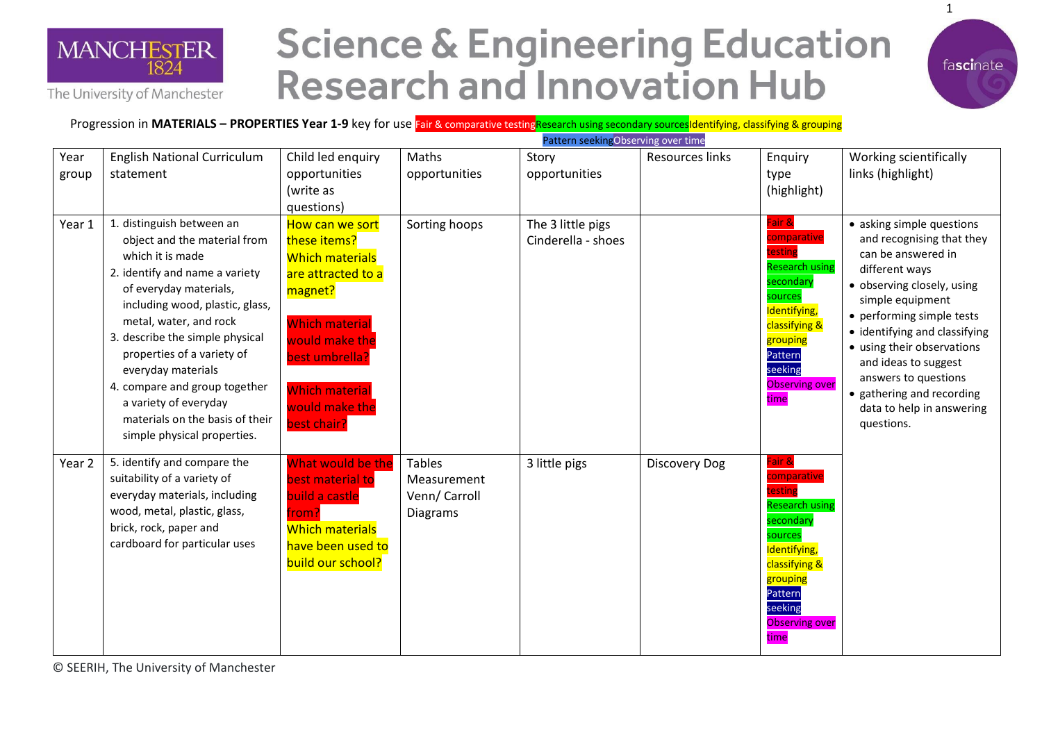

## **Science & Engineering Education Research and Innovation Hub**



Progression in **MATERIALS – PROPERTIES Year 1-9** key for use Fair & comparative testingResearch using secondary sourcesIdentifying, classifying & grouping

|               |                                                                                                                                                                                                                                                                                                                                                                                                                           |                                                                                                                                                                                                                   |                                                                  | Pattern seeking Observing over time     |                      |                                                                                                                                                                                       |                                                                                                                                                                                                                                                                                                                                                                      |
|---------------|---------------------------------------------------------------------------------------------------------------------------------------------------------------------------------------------------------------------------------------------------------------------------------------------------------------------------------------------------------------------------------------------------------------------------|-------------------------------------------------------------------------------------------------------------------------------------------------------------------------------------------------------------------|------------------------------------------------------------------|-----------------------------------------|----------------------|---------------------------------------------------------------------------------------------------------------------------------------------------------------------------------------|----------------------------------------------------------------------------------------------------------------------------------------------------------------------------------------------------------------------------------------------------------------------------------------------------------------------------------------------------------------------|
| Year<br>group | <b>English National Curriculum</b><br>statement                                                                                                                                                                                                                                                                                                                                                                           | Child led enquiry<br>opportunities<br>(write as<br>questions)                                                                                                                                                     | Maths<br>opportunities                                           | Story<br>opportunities                  | Resources links      | Enquiry<br>type<br>(highlight)                                                                                                                                                        | Working scientifically<br>links (highlight)                                                                                                                                                                                                                                                                                                                          |
| Year 1        | 1. distinguish between an<br>object and the material from<br>which it is made<br>2. identify and name a variety<br>of everyday materials,<br>including wood, plastic, glass,<br>metal, water, and rock<br>3. describe the simple physical<br>properties of a variety of<br>everyday materials<br>4. compare and group together<br>a variety of everyday<br>materials on the basis of their<br>simple physical properties. | How can we sort<br>these items?<br><b>Which materials</b><br>are attracted to a<br>magnet?<br><b>Which material</b><br>would make the<br>best umbrella?<br><b>Which material</b><br>would make the<br>best chair? | Sorting hoops                                                    | The 3 little pigs<br>Cinderella - shoes |                      | Fair &<br>comparative<br>testing<br><b>Research using</b><br>secondary<br>sources<br>Identifying,<br>classifying &<br>grouping<br>Pattern<br>seeking<br><b>Observing over</b><br>time | • asking simple questions<br>and recognising that they<br>can be answered in<br>different ways<br>· observing closely, using<br>simple equipment<br>• performing simple tests<br>• identifying and classifying<br>• using their observations<br>and ideas to suggest<br>answers to questions<br>• gathering and recording<br>data to help in answering<br>questions. |
| Year 2        | 5. identify and compare the<br>suitability of a variety of<br>everyday materials, including<br>wood, metal, plastic, glass,<br>brick, rock, paper and<br>cardboard for particular uses                                                                                                                                                                                                                                    | What would be the<br>best material to<br>build a castle<br>from′<br><b>Which materials</b><br>have been used to<br>build our school?                                                                              | <b>Tables</b><br>Measurement<br>Venn/ Carroll<br><b>Diagrams</b> | 3 little pigs                           | <b>Discovery Dog</b> | Fair &<br>comparative<br>testing<br><b>Research using</b><br>secondary<br>sources<br>Identifying,<br>classifying &<br>grouping<br>Pattern<br>seeking<br><b>Observing over</b><br>time |                                                                                                                                                                                                                                                                                                                                                                      |

© SEERIH, The University of Manchester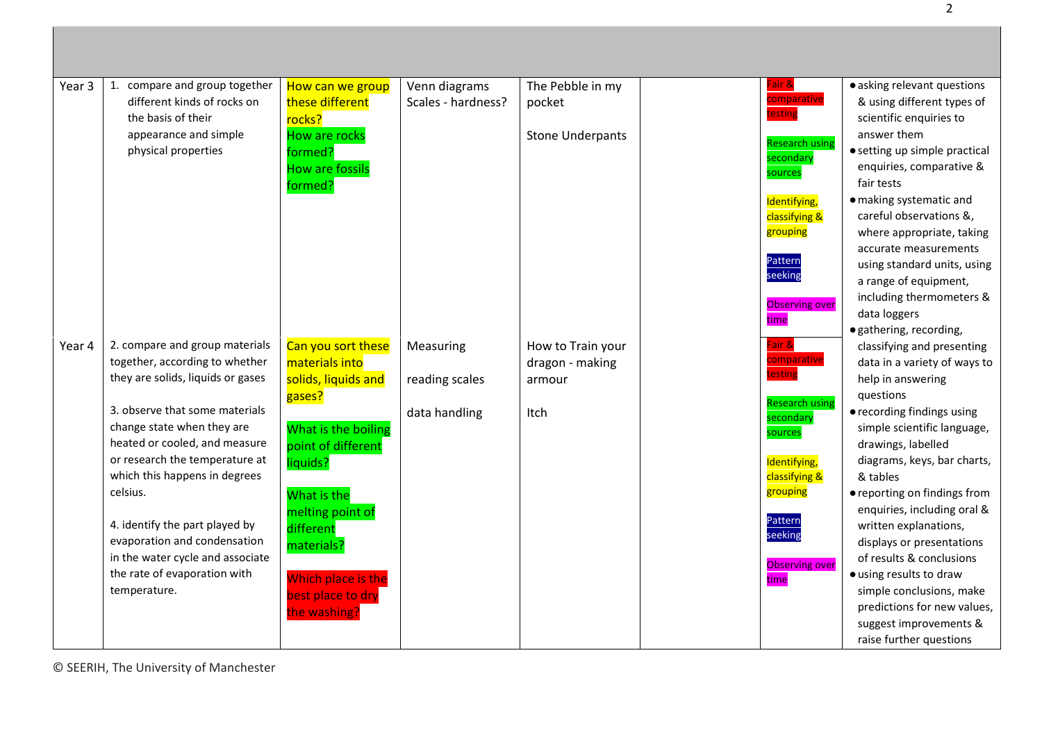| Year 3 | 1. compare and group together     | How can we group       | Venn diagrams      | The Pebble in my        | Fair &                | · asking relevant questions   |
|--------|-----------------------------------|------------------------|--------------------|-------------------------|-----------------------|-------------------------------|
|        | different kinds of rocks on       | these different        | Scales - hardness? | pocket                  | comparative           | & using different types of    |
|        | the basis of their                | rocks?                 |                    |                         | testing               | scientific enquiries to       |
|        | appearance and simple             | How are rocks          |                    | <b>Stone Underpants</b> |                       | answer them                   |
|        | physical properties               | formed?                |                    |                         | <b>Research using</b> | • setting up simple practical |
|        |                                   | <b>How are fossils</b> |                    |                         | secondary             | enquiries, comparative &      |
|        |                                   | formed?                |                    |                         | sources               | fair tests                    |
|        |                                   |                        |                    |                         | Identifying,          | · making systematic and       |
|        |                                   |                        |                    |                         | classifying &         | careful observations &,       |
|        |                                   |                        |                    |                         | grouping              | where appropriate, taking     |
|        |                                   |                        |                    |                         |                       | accurate measurements         |
|        |                                   |                        |                    |                         | Pattern               | using standard units, using   |
|        |                                   |                        |                    |                         | seeking               | a range of equipment,         |
|        |                                   |                        |                    |                         | <b>Observing over</b> | including thermometers &      |
|        |                                   |                        |                    |                         | time                  | data loggers                  |
|        |                                   |                        |                    |                         |                       | · gathering, recording,       |
| Year 4 | 2. compare and group materials    | Can you sort these     | Measuring          | How to Train your       | Fair &                | classifying and presenting    |
|        | together, according to whether    | materials into         |                    | dragon - making         | comparative           | data in a variety of ways to  |
|        | they are solids, liquids or gases | solids, liquids and    | reading scales     | armour                  | testing               | help in answering             |
|        |                                   | gases?                 |                    |                         | <b>Research using</b> | questions                     |
|        | 3. observe that some materials    |                        | data handling      | Itch                    | secondary             | • recording findings using    |
|        | change state when they are        | What is the boiling    |                    |                         | sources               | simple scientific language,   |
|        | heated or cooled, and measure     | point of different     |                    |                         |                       | drawings, labelled            |
|        | or research the temperature at    | liquids?               |                    |                         | Identifying,          | diagrams, keys, bar charts,   |
|        | which this happens in degrees     |                        |                    |                         | classifying &         | & tables                      |
|        | celsius.                          | What is the            |                    |                         | grouping              | • reporting on findings from  |
|        |                                   | melting point of       |                    |                         | Pattern               | enquiries, including oral &   |
|        | 4. identify the part played by    | different              |                    |                         | seeking               | written explanations,         |
|        | evaporation and condensation      | materials?             |                    |                         |                       | displays or presentations     |
|        | in the water cycle and associate  |                        |                    |                         | <b>Observing over</b> | of results & conclusions      |
|        | the rate of evaporation with      | Which place is the     |                    |                         | time                  | · using results to draw       |
|        | temperature.                      | best place to dry      |                    |                         |                       | simple conclusions, make      |
|        |                                   | the washing?           |                    |                         |                       | predictions for new values,   |
|        |                                   |                        |                    |                         |                       | suggest improvements &        |
|        |                                   |                        |                    |                         |                       | raise further questions       |

© SEERIH, The University of Manchester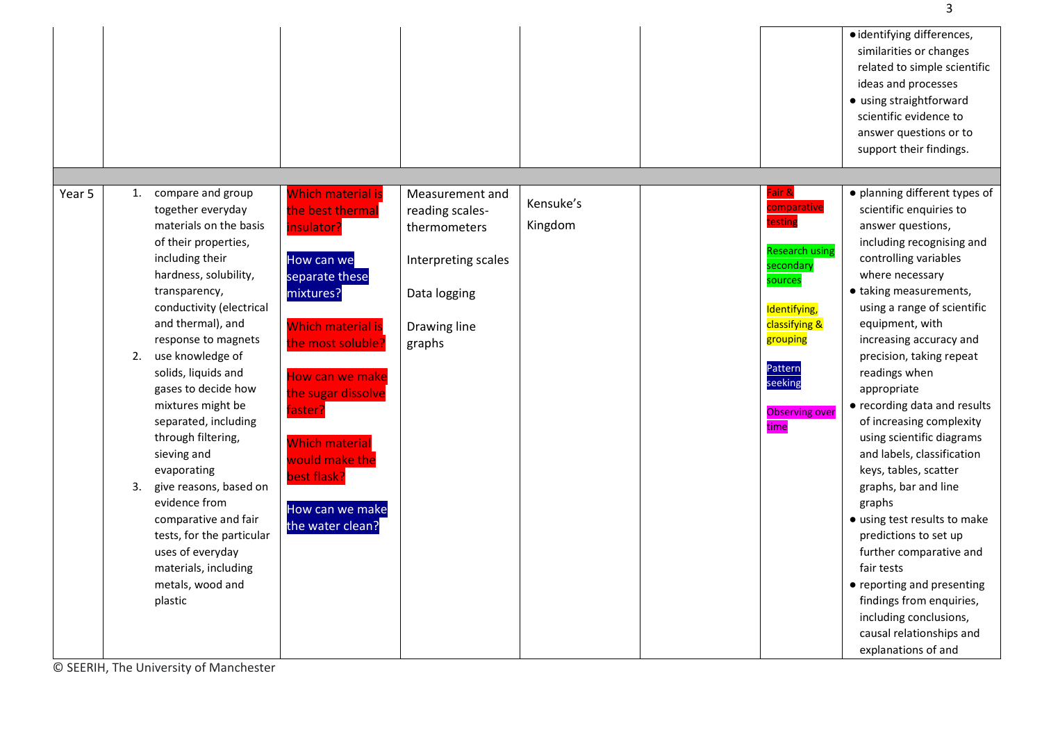|        |                                                                                                                                                                                                                                                                                                                                                                                                                                                                                                                                                                                            |                                                                                                                                                                                                                                                                                                               |                                                                                                                     |                      |                                                                                                                                                                                       | · identifying differences,<br>similarities or changes<br>related to simple scientific<br>ideas and processes<br>• using straightforward<br>scientific evidence to<br>answer questions or to<br>support their findings.                                                                                                                                                                                                                                                                                                                                                                                                                                                                                                                               |
|--------|--------------------------------------------------------------------------------------------------------------------------------------------------------------------------------------------------------------------------------------------------------------------------------------------------------------------------------------------------------------------------------------------------------------------------------------------------------------------------------------------------------------------------------------------------------------------------------------------|---------------------------------------------------------------------------------------------------------------------------------------------------------------------------------------------------------------------------------------------------------------------------------------------------------------|---------------------------------------------------------------------------------------------------------------------|----------------------|---------------------------------------------------------------------------------------------------------------------------------------------------------------------------------------|------------------------------------------------------------------------------------------------------------------------------------------------------------------------------------------------------------------------------------------------------------------------------------------------------------------------------------------------------------------------------------------------------------------------------------------------------------------------------------------------------------------------------------------------------------------------------------------------------------------------------------------------------------------------------------------------------------------------------------------------------|
| Year 5 | 1. compare and group<br>together everyday<br>materials on the basis<br>of their properties,<br>including their<br>hardness, solubility,<br>transparency,<br>conductivity (electrical<br>and thermal), and<br>response to magnets<br>use knowledge of<br>2.<br>solids, liquids and<br>gases to decide how<br>mixtures might be<br>separated, including<br>through filtering,<br>sieving and<br>evaporating<br>give reasons, based on<br>3.<br>evidence from<br>comparative and fair<br>tests, for the particular<br>uses of everyday<br>materials, including<br>metals, wood and<br>plastic | <b>Which material is</b><br>the best thermal<br>insulator?<br>How can we<br>separate these<br>mixtures?<br><b>Which material is</b><br>the most soluble?<br>How can we make<br>the sugar dissolve<br>faster?<br><b>Which material</b><br>would make the<br>best flask?<br>How can we make<br>the water clean? | Measurement and<br>reading scales-<br>thermometers<br>Interpreting scales<br>Data logging<br>Drawing line<br>graphs | Kensuke's<br>Kingdom | Fair &<br>comparative<br>testing<br><b>Research using</b><br>secondary<br>sources<br>Identifying,<br>classifying &<br>grouping<br>Pattern<br>seeking<br><b>Observing over</b><br>time | · planning different types of<br>scientific enquiries to<br>answer questions,<br>including recognising and<br>controlling variables<br>where necessary<br>• taking measurements,<br>using a range of scientific<br>equipment, with<br>increasing accuracy and<br>precision, taking repeat<br>readings when<br>appropriate<br>• recording data and results<br>of increasing complexity<br>using scientific diagrams<br>and labels, classification<br>keys, tables, scatter<br>graphs, bar and line<br>graphs<br>• using test results to make<br>predictions to set up<br>further comparative and<br>fair tests<br>• reporting and presenting<br>findings from enquiries,<br>including conclusions,<br>causal relationships and<br>explanations of and |

© SEERIH, The University of Manchester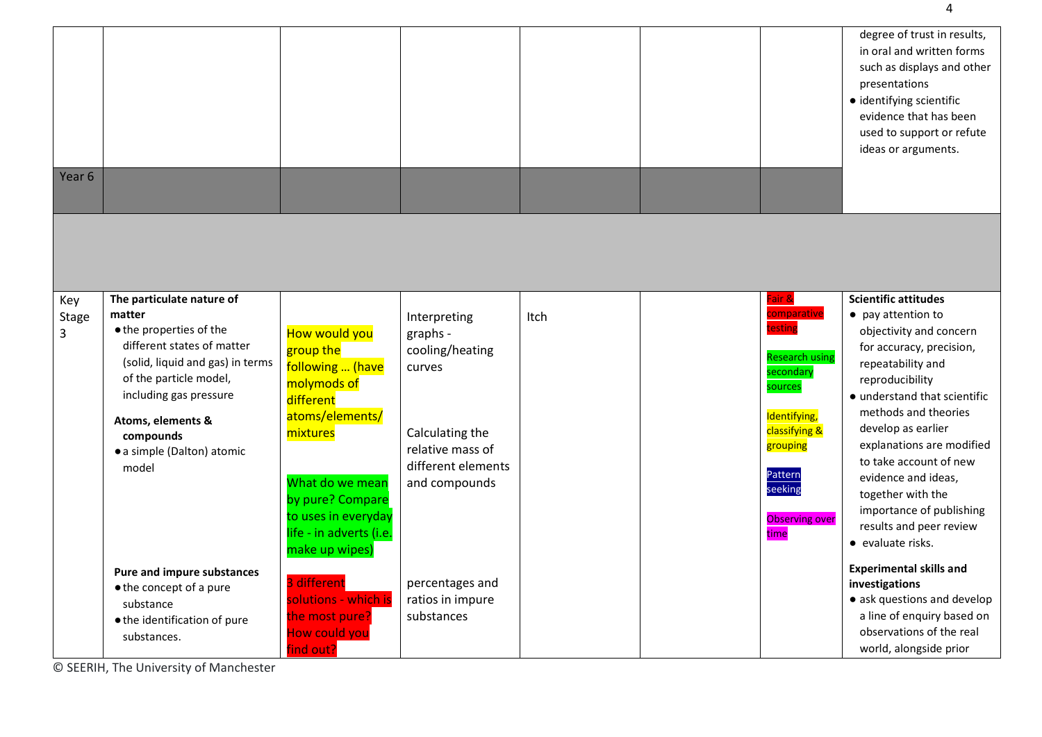| Year <sub>6</sub>        |                                                                                                                                                                                                                                                               |                                                                                                                                                                                                                      |                                                                                                                                     |      |                                                                                                                                                                                       | degree of trust in results,<br>in oral and written forms<br>such as displays and other<br>presentations<br>· identifying scientific<br>evidence that has been<br>used to support or refute<br>ideas or arguments.                                                                                                                                                                                             |
|--------------------------|---------------------------------------------------------------------------------------------------------------------------------------------------------------------------------------------------------------------------------------------------------------|----------------------------------------------------------------------------------------------------------------------------------------------------------------------------------------------------------------------|-------------------------------------------------------------------------------------------------------------------------------------|------|---------------------------------------------------------------------------------------------------------------------------------------------------------------------------------------|---------------------------------------------------------------------------------------------------------------------------------------------------------------------------------------------------------------------------------------------------------------------------------------------------------------------------------------------------------------------------------------------------------------|
|                          |                                                                                                                                                                                                                                                               |                                                                                                                                                                                                                      |                                                                                                                                     |      |                                                                                                                                                                                       |                                                                                                                                                                                                                                                                                                                                                                                                               |
| Key<br><b>Stage</b><br>3 | The particulate nature of<br>matter<br>• the properties of the<br>different states of matter<br>(solid, liquid and gas) in terms<br>of the particle model,<br>including gas pressure<br>Atoms, elements &<br>compounds<br>· a simple (Dalton) atomic<br>model | How would you<br>group the<br>following  (have<br>molymods of<br>different<br>atoms/elements/<br>mixtures<br>What do we mean<br>by pure? Compare<br>to uses in everyday<br>life - in adverts (i.e.<br>make up wipes) | Interpreting<br>graphs -<br>cooling/heating<br>curves<br>Calculating the<br>relative mass of<br>different elements<br>and compounds | Itch | Fair &<br>comparative<br>testing<br><b>Research using</b><br>secondary<br>sources<br>Identifying,<br>classifying &<br>grouping<br>Pattern<br>seeking<br><b>Observing over</b><br>time | <b>Scientific attitudes</b><br>• pay attention to<br>objectivity and concern<br>for accuracy, precision,<br>repeatability and<br>reproducibility<br>• understand that scientific<br>methods and theories<br>develop as earlier<br>explanations are modified<br>to take account of new<br>evidence and ideas,<br>together with the<br>importance of publishing<br>results and peer review<br>• evaluate risks. |
|                          | <b>Pure and impure substances</b><br>• the concept of a pure<br>substance<br>• the identification of pure<br>substances.                                                                                                                                      | 3 different<br>solutions - which is<br>the most pure?<br><b>How could you</b><br>find out?                                                                                                                           | percentages and<br>ratios in impure<br>substances                                                                                   |      |                                                                                                                                                                                       | <b>Experimental skills and</b><br>investigations<br>• ask questions and develop<br>a line of enquiry based on<br>observations of the real<br>world, alongside prior                                                                                                                                                                                                                                           |

© SEERIH, The University of Manchester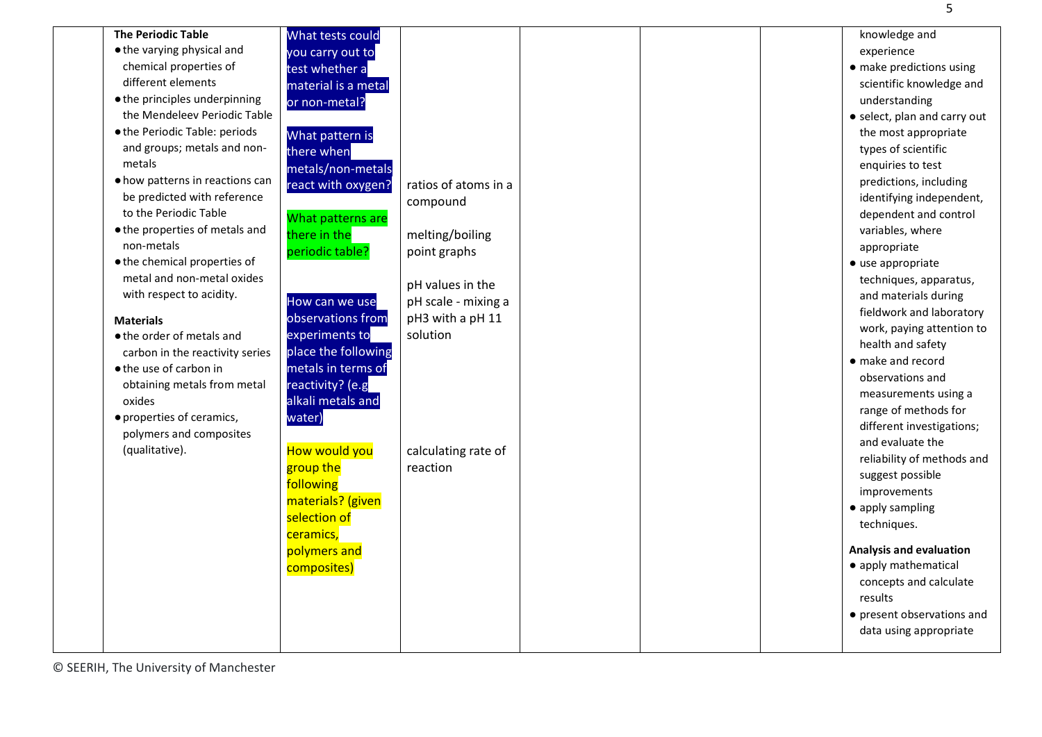| <b>The Periodic Table</b>       | What tests could     |                      | knowledge and                                        |
|---------------------------------|----------------------|----------------------|------------------------------------------------------|
| • the varying physical and      | you carry out to     |                      | experience                                           |
| chemical properties of          | test whether a       |                      | • make predictions using                             |
| different elements              | material is a metal  |                      | scientific knowledge and                             |
| · the principles underpinning   | or non-metal?        |                      | understanding                                        |
| the Mendeleev Periodic Table    |                      |                      | • select, plan and carry out                         |
| . the Periodic Table: periods   | What pattern is      |                      | the most appropriate                                 |
| and groups; metals and non-     | there when           |                      | types of scientific                                  |
| metals                          | metals/non-metals    |                      | enquiries to test                                    |
| • how patterns in reactions can | react with oxygen?   | ratios of atoms in a | predictions, including                               |
| be predicted with reference     |                      | compound             | identifying independent,                             |
| to the Periodic Table           | What patterns are    |                      | dependent and control                                |
| • the properties of metals and  | there in the         | melting/boiling      | variables, where                                     |
| non-metals                      | periodic table?      | point graphs         | appropriate                                          |
| • the chemical properties of    |                      |                      | • use appropriate                                    |
| metal and non-metal oxides      |                      | pH values in the     | techniques, apparatus,                               |
| with respect to acidity.        | How can we use       | pH scale - mixing a  | and materials during                                 |
|                                 | observations from    | pH3 with a pH 11     | fieldwork and laboratory                             |
| <b>Materials</b>                |                      | solution             | work, paying attention to                            |
| ● the order of metals and       | experiments to       |                      | health and safety                                    |
| carbon in the reactivity series | place the following  |                      | • make and record                                    |
| ● the use of carbon in          | metals in terms of   |                      | observations and                                     |
| obtaining metals from metal     | reactivity? (e.g     |                      | measurements using a                                 |
| oxides                          | alkali metals and    |                      | range of methods for                                 |
| · properties of ceramics,       | water)               |                      | different investigations;                            |
| polymers and composites         |                      |                      | and evaluate the                                     |
| (qualitative).                  | <b>How would you</b> | calculating rate of  | reliability of methods and                           |
|                                 | group the            | reaction             | suggest possible                                     |
|                                 | following            |                      | improvements                                         |
|                                 | materials? (given    |                      | • apply sampling                                     |
|                                 | selection of         |                      | techniques.                                          |
|                                 | ceramics,            |                      |                                                      |
|                                 | polymers and         |                      | <b>Analysis and evaluation</b>                       |
|                                 | composites)          |                      | • apply mathematical                                 |
|                                 |                      |                      | concepts and calculate                               |
|                                 |                      |                      | results                                              |
|                                 |                      |                      |                                                      |
|                                 |                      |                      | • present observations and<br>data using appropriate |